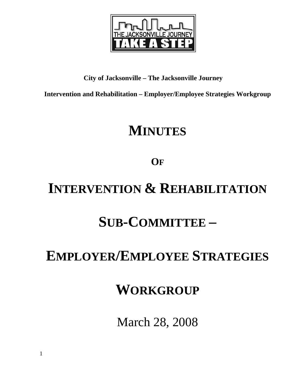

## **City of Jacksonville – The Jacksonville Journey**

**Intervention and Rehabilitation – Employer/Employee Strategies Workgroup** 

# **MINUTES**

# **OF**

# **INTERVENTION & REHABILITATION**

# **SUB-COMMITTEE –**

# **EMPLOYER/EMPLOYEE STRATEGIES**

# **WORKGROUP**

March 28, 2008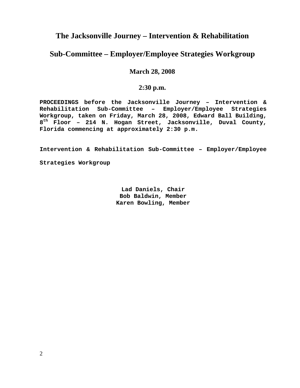## **The Jacksonville Journey – Intervention & Rehabilitation**

## **Sub-Committee – Employer/Employee Strategies Workgroup**

### **March 28, 2008**

### **2:30 p.m.**

**PROCEEDINGS before the Jacksonville Journey – Intervention & Rehabilitation Sub-Committee – Employer/Employee Strategies Workgroup, taken on Friday, March 28, 2008, Edward Ball Building, 8th Floor – 214 N. Hogan Street, Jacksonville, Duval County, Florida commencing at approximately 2:30 p.m.** 

**Intervention & Rehabilitation Sub-Committee – Employer/Employee Strategies Workgroup** 

> **Lad Daniels, Chair Bob Baldwin, Member Karen Bowling, Member**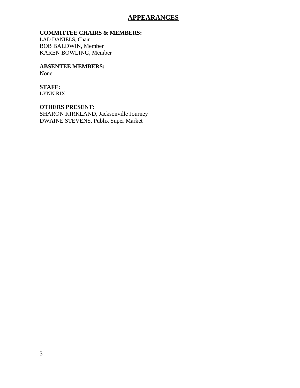## **APPEARANCES**

### **COMMITTEE CHAIRS & MEMBERS:**

LAD DANIELS, Chair BOB BALDWIN, Member KAREN BOWLING, Member

**ABSENTEE MEMBERS:**  None

### **STAFF:**

LYNN RIX

**OTHERS PRESENT:** 

SHARON KIRKLAND, Jacksonville Journey DWAINE STEVENS, Publix Super Market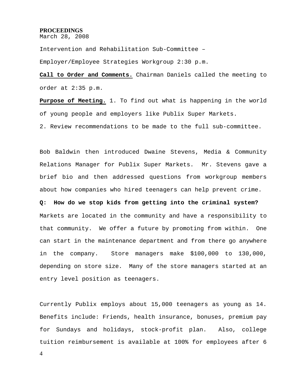## **PROCEEDINGS**

March 28, 2008

Intervention and Rehabilitation Sub-Committee –

Employer/Employee Strategies Workgroup 2:30 p.m.

**Call to Order and Comments.** Chairman Daniels called the meeting to order at 2:35 p.m.

**Purpose of Meeting.** 1. To find out what is happening in the world of young people and employers like Publix Super Markets.

2. Review recommendations to be made to the full sub-committee.

Bob Baldwin then introduced Dwaine Stevens, Media & Community Relations Manager for Publix Super Markets. Mr. Stevens gave a brief bio and then addressed questions from workgroup members about how companies who hired teenagers can help prevent crime. **Q: How do we stop kids from getting into the criminal system?**  Markets are located in the community and have a responsibility to that community. We offer a future by promoting from within. One can start in the maintenance department and from there go anywhere in the company. Store managers make \$100,000 to 130,000, depending on store size. Many of the store managers started at an

Currently Publix employs about 15,000 teenagers as young as 14. Benefits include: Friends, health insurance, bonuses, premium pay for Sundays and holidays, stock-profit plan. Also, college tuition reimbursement is available at 100% for employees after 6

entry level position as teenagers.

4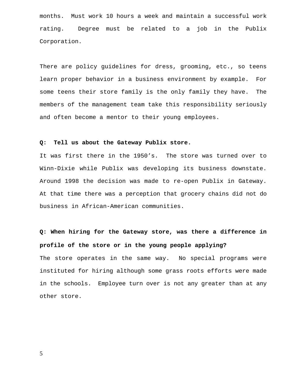months. Must work 10 hours a week and maintain a successful work rating. Degree must be related to a job in the Publix Corporation.

There are policy guidelines for dress, grooming, etc., so teens learn proper behavior in a business environment by example. For some teens their store family is the only family they have. The members of the management team take this responsibility seriously and often become a mentor to their young employees.

#### **Q: Tell us about the Gateway Publix store.**

It was first there in the 1950's. The store was turned over to Winn-Dixie while Publix was developing its business downstate. Around 1998 the decision was made to re-open Publix in Gateway. At that time there was a perception that grocery chains did not do business in African-American communities.

# **Q: When hiring for the Gateway store, was there a difference in profile of the store or in the young people applying?**

The store operates in the same way. No special programs were instituted for hiring although some grass roots efforts were made in the schools. Employee turn over is not any greater than at any other store.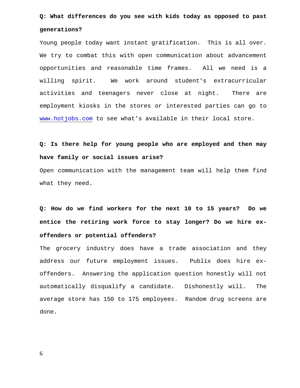# **Q: What differences do you see with kids today as opposed to past generations?**

Young people today want instant gratification. This is all over. We try to combat this with open communication about advancement opportunities and reasonable time frames. All we need is a willing spirit. We work around student's extracurricular activities and teenagers never close at night. There are employment kiosks in the stores or interested parties can go to www.hotjobs.com to see what's available in their local store.

**Q: Is there help for young people who are employed and then may have family or social issues arise?** 

Open communication with the management team will help them find what they need.

**Q: How do we find workers for the next 10 to 15 years? Do we entice the retiring work force to stay longer? Do we hire exoffenders or potential offenders?** 

The grocery industry does have a trade association and they address our future employment issues. Publix does hire exoffenders. Answering the application question honestly will not automatically disqualify a candidate. Dishonestly will. The average store has 150 to 175 employees. Random drug screens are done.

6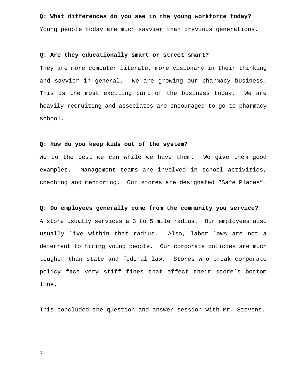#### **Q: What differences do you see in the young workforce today?**

Young people today are much savvier than previous generations.

#### **Q: Are they educationally smart or street smart?**

They are more computer literate, more visionary in their thinking and savvier in general. We are growing our pharmacy business. This is the most exciting part of the business today. We are heavily recruiting and associates are encouraged to go to pharmacy school.

#### **Q: How do you keep kids out of the system?**

We do the best we can while we have them. We give them good examples. Management teams are involved in school activities, coaching and mentoring. Our stores are designated "Safe Places".

#### **Q: Do employees generally come from the community you service?**

A store usually services a 3 to 5 mile radius. Our employees also usually live within that radius. Also, labor laws are not a deterrent to hiring young people. Our corporate policies are much tougher than state and federal law. Stores who break corporate policy face very stiff fines that affect their store's bottom line.

This concluded the question and answer session with Mr. Stevens.